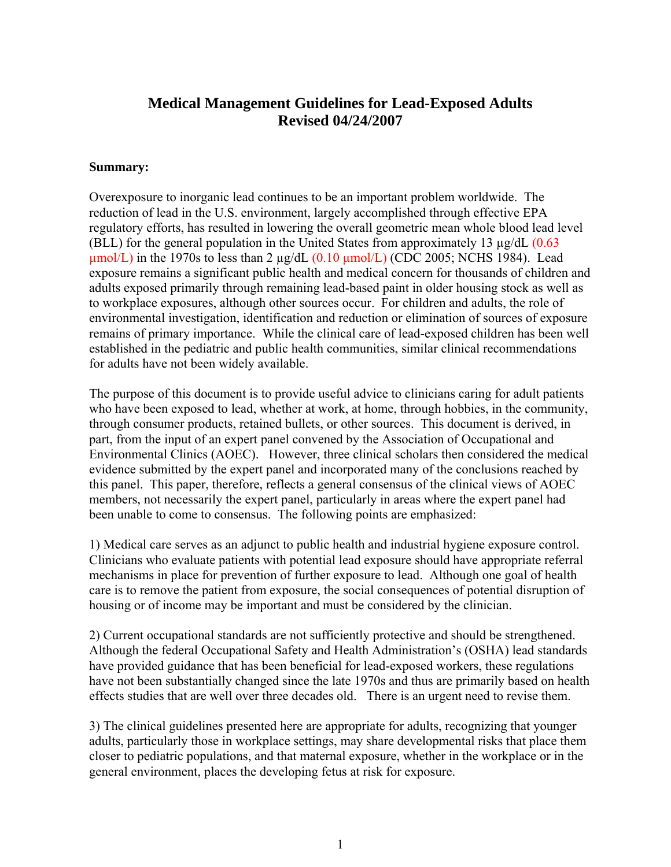### **Medical Management Guidelines for Lead-Exposed Adults Revised 04/24/2007**

#### **Summary:**

Overexposure to inorganic lead continues to be an important problem worldwide. The reduction of lead in the U.S. environment, largely accomplished through effective EPA regulatory efforts, has resulted in lowering the overall geometric mean whole blood lead level (BLL) for the general population in the United States from approximately 13  $\mu$ g/dL (0.63)  $\mu$ mol/L) in the 1970s to less than 2  $\mu$ g/dL (0.10  $\mu$ mol/L) (CDC 2005; NCHS 1984). Lead exposure remains a significant public health and medical concern for thousands of children and adults exposed primarily through remaining lead-based paint in older housing stock as well as to workplace exposures, although other sources occur. For children and adults, the role of environmental investigation, identification and reduction or elimination of sources of exposure remains of primary importance. While the clinical care of lead-exposed children has been well established in the pediatric and public health communities, similar clinical recommendations for adults have not been widely available.

The purpose of this document is to provide useful advice to clinicians caring for adult patients who have been exposed to lead, whether at work, at home, through hobbies, in the community, through consumer products, retained bullets, or other sources. This document is derived, in part, from the input of an expert panel convened by the Association of Occupational and Environmental Clinics (AOEC). However, three clinical scholars then considered the medical evidence submitted by the expert panel and incorporated many of the conclusions reached by this panel. This paper, therefore, reflects a general consensus of the clinical views of AOEC members, not necessarily the expert panel, particularly in areas where the expert panel had been unable to come to consensus. The following points are emphasized:

1) Medical care serves as an adjunct to public health and industrial hygiene exposure control. Clinicians who evaluate patients with potential lead exposure should have appropriate referral mechanisms in place for prevention of further exposure to lead. Although one goal of health care is to remove the patient from exposure, the social consequences of potential disruption of housing or of income may be important and must be considered by the clinician.

2) Current occupational standards are not sufficiently protective and should be strengthened. Although the federal Occupational Safety and Health Administration's (OSHA) lead standards have provided guidance that has been beneficial for lead-exposed workers, these regulations have not been substantially changed since the late 1970s and thus are primarily based on health effects studies that are well over three decades old. There is an urgent need to revise them.

3) The clinical guidelines presented here are appropriate for adults, recognizing that younger adults, particularly those in workplace settings, may share developmental risks that place them closer to pediatric populations, and that maternal exposure, whether in the workplace or in the general environment, places the developing fetus at risk for exposure.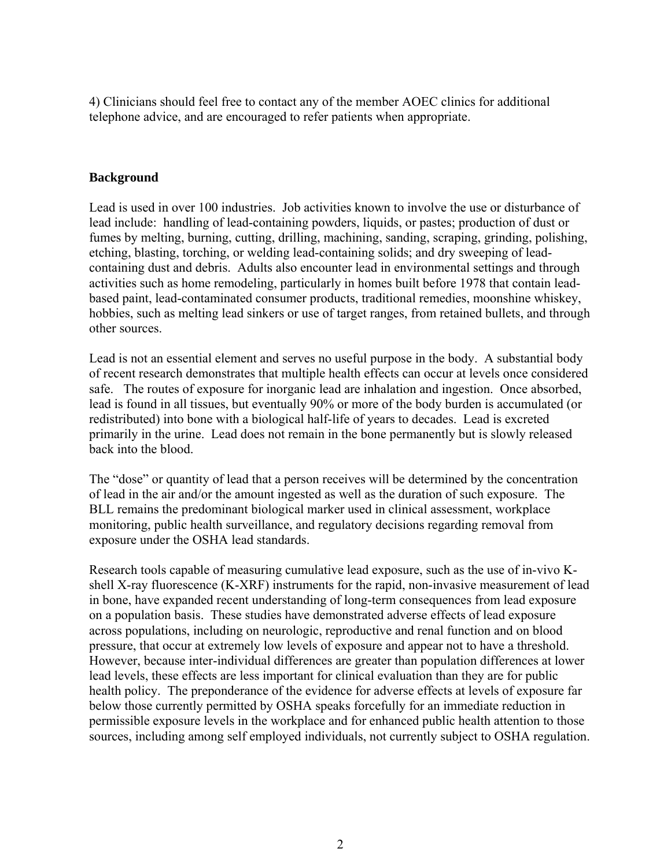4) Clinicians should feel free to contact any of the member AOEC clinics for additional telephone advice, and are encouraged to refer patients when appropriate.

#### **Background**

Lead is used in over 100 industries. Job activities known to involve the use or disturbance of lead include: handling of lead-containing powders, liquids, or pastes; production of dust or fumes by melting, burning, cutting, drilling, machining, sanding, scraping, grinding, polishing, etching, blasting, torching, or welding lead-containing solids; and dry sweeping of leadcontaining dust and debris. Adults also encounter lead in environmental settings and through activities such as home remodeling, particularly in homes built before 1978 that contain leadbased paint, lead-contaminated consumer products, traditional remedies, moonshine whiskey, hobbies, such as melting lead sinkers or use of target ranges, from retained bullets, and through other sources.

Lead is not an essential element and serves no useful purpose in the body. A substantial body of recent research demonstrates that multiple health effects can occur at levels once considered safe. The routes of exposure for inorganic lead are inhalation and ingestion. Once absorbed, lead is found in all tissues, but eventually 90% or more of the body burden is accumulated (or redistributed) into bone with a biological half-life of years to decades. Lead is excreted primarily in the urine. Lead does not remain in the bone permanently but is slowly released back into the blood.

The "dose" or quantity of lead that a person receives will be determined by the concentration of lead in the air and/or the amount ingested as well as the duration of such exposure. The BLL remains the predominant biological marker used in clinical assessment, workplace monitoring, public health surveillance, and regulatory decisions regarding removal from exposure under the OSHA lead standards.

Research tools capable of measuring cumulative lead exposure, such as the use of in-vivo Kshell X-ray fluorescence (K-XRF) instruments for the rapid, non-invasive measurement of lead in bone, have expanded recent understanding of long-term consequences from lead exposure on a population basis. These studies have demonstrated adverse effects of lead exposure across populations, including on neurologic, reproductive and renal function and on blood pressure, that occur at extremely low levels of exposure and appear not to have a threshold. However, because inter-individual differences are greater than population differences at lower lead levels, these effects are less important for clinical evaluation than they are for public health policy. The preponderance of the evidence for adverse effects at levels of exposure far below those currently permitted by OSHA speaks forcefully for an immediate reduction in permissible exposure levels in the workplace and for enhanced public health attention to those sources, including among self employed individuals, not currently subject to OSHA regulation.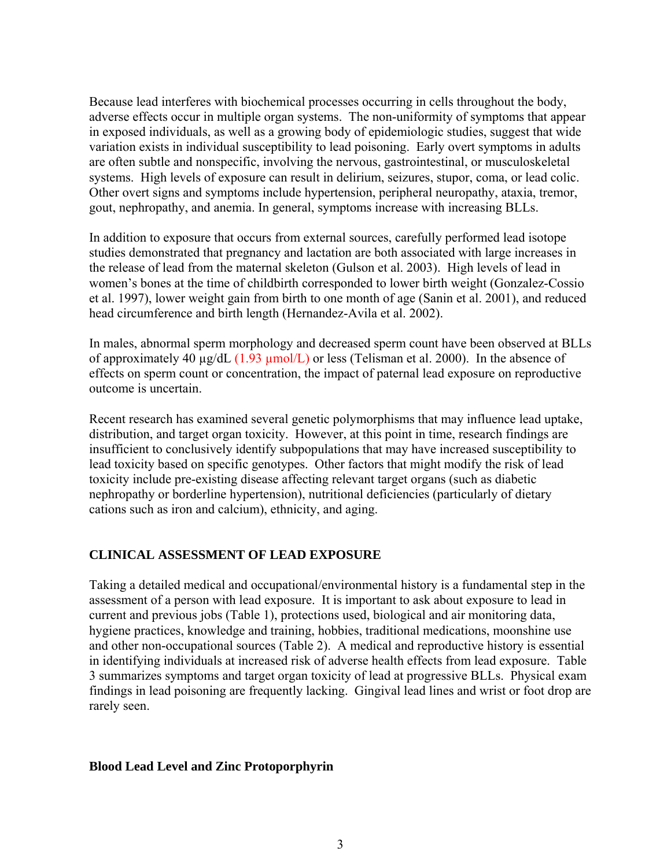Because lead interferes with biochemical processes occurring in cells throughout the body, adverse effects occur in multiple organ systems. The non-uniformity of symptoms that appear in exposed individuals, as well as a growing body of epidemiologic studies, suggest that wide variation exists in individual susceptibility to lead poisoning. Early overt symptoms in adults are often subtle and nonspecific, involving the nervous, gastrointestinal, or musculoskeletal systems. High levels of exposure can result in delirium, seizures, stupor, coma, or lead colic. Other overt signs and symptoms include hypertension, peripheral neuropathy, ataxia, tremor, gout, nephropathy, and anemia. In general, symptoms increase with increasing BLLs.

In addition to exposure that occurs from external sources, carefully performed lead isotope studies demonstrated that pregnancy and lactation are both associated with large increases in the release of lead from the maternal skeleton (Gulson et al. 2003). High levels of lead in women's bones at the time of childbirth corresponded to lower birth weight (Gonzalez-Cossio et al. 1997), lower weight gain from birth to one month of age (Sanin et al. 2001), and reduced head circumference and birth length (Hernandez-Avila et al. 2002).

In males, abnormal sperm morphology and decreased sperm count have been observed at BLLs of approximately 40  $\mu$ g/dL (1.93  $\mu$ mol/L) or less (Telisman et al. 2000). In the absence of effects on sperm count or concentration, the impact of paternal lead exposure on reproductive outcome is uncertain.

Recent research has examined several genetic polymorphisms that may influence lead uptake, distribution, and target organ toxicity. However, at this point in time, research findings are insufficient to conclusively identify subpopulations that may have increased susceptibility to lead toxicity based on specific genotypes. Other factors that might modify the risk of lead toxicity include pre-existing disease affecting relevant target organs (such as diabetic nephropathy or borderline hypertension), nutritional deficiencies (particularly of dietary cations such as iron and calcium), ethnicity, and aging.

#### **CLINICAL ASSESSMENT OF LEAD EXPOSURE**

Taking a detailed medical and occupational/environmental history is a fundamental step in the assessment of a person with lead exposure. It is important to ask about exposure to lead in current and previous jobs (Table 1), protections used, biological and air monitoring data, hygiene practices, knowledge and training, hobbies, traditional medications, moonshine use and other non-occupational sources (Table 2). A medical and reproductive history is essential in identifying individuals at increased risk of adverse health effects from lead exposure. Table 3 summarizes symptoms and target organ toxicity of lead at progressive BLLs. Physical exam findings in lead poisoning are frequently lacking. Gingival lead lines and wrist or foot drop are rarely seen.

#### **Blood Lead Level and Zinc Protoporphyrin**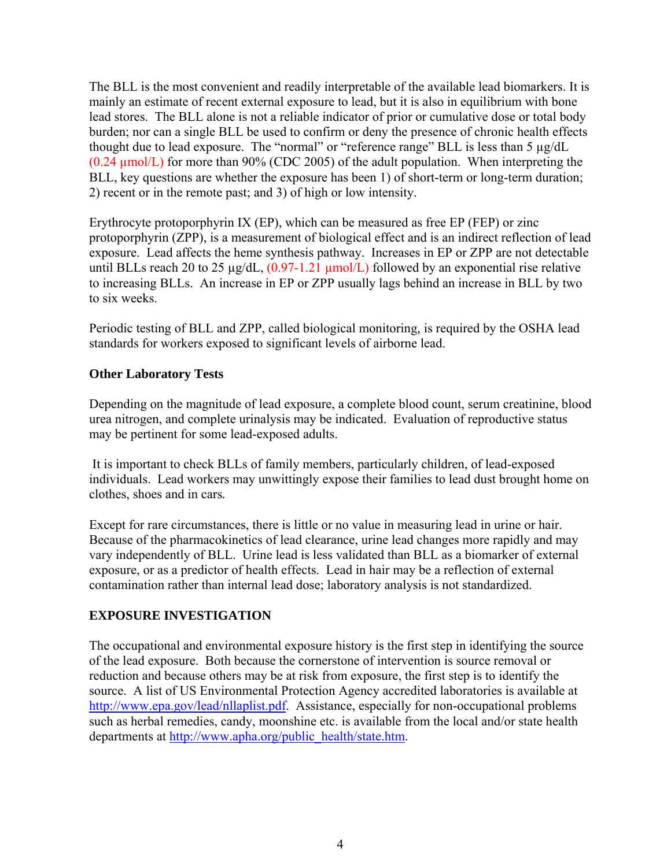The BLL is the most convenient and readily interpretable of the available lead biomarkers. It is mainly an estimate of recent external exposure to lead, but it is also in equilibrium with bone lead stores. The BLL alone is not a reliable indicator of prior or cumulative dose or total body burden; nor can a single BLL be used to confirm or deny the presence of chronic health effects thought due to lead exposure. The "normal" or "reference range" BLL is less than 5 µg/dL (0.24 µmol/L) for more than 90% (CDC 2005) of the adult population. When interpreting the BLL, key questions are whether the exposure has been 1) of short-term or long-term duration; 2) recent or in the remote past; and 3) of high or low intensity.

Erythrocyte protoporphyrin IX (EP), which can be measured as free EP (FEP) or zinc protoporphyrin (ZPP), is a measurement of biological effect and is an indirect reflection of lead exposure. Lead affects the heme synthesis pathway. Increases in EP or ZPP are not detectable until BLLs reach 20 to 25  $\mu$ g/dL,  $(0.97-1.21 \mu$ mol/L) followed by an exponential rise relative to increasing BLLs. An increase in EP or ZPP usually lags behind an increase in BLL by two to six weeks.

Periodic testing of BLL and ZPP, called biological monitoring*,* is required by the OSHA lead standards for workers exposed to significant levels of airborne lead.

#### **Other Laboratory Tests**

Depending on the magnitude of lead exposure, a complete blood count, serum creatinine, blood urea nitrogen, and complete urinalysis may be indicated. Evaluation of reproductive status may be pertinent for some lead-exposed adults.

 It is important to check BLLs of family members, particularly children, of lead-exposed individuals. Lead workers may unwittingly expose their families to lead dust brought home on clothes, shoes and in cars*.*

Except for rare circumstances, there is little or no value in measuring lead in urine or hair. Because of the pharmacokinetics of lead clearance, urine lead changes more rapidly and may vary independently of BLL. Urine lead is less validated than BLL as a biomarker of external exposure, or as a predictor of health effects. Lead in hair may be a reflection of external contamination rather than internal lead dose; laboratory analysis is not standardized.

#### **EXPOSURE INVESTIGATION**

The occupational and environmental exposure history is the first step in identifying the source of the lead exposure. Both because the cornerstone of intervention is source removal or reduction and because others may be at risk from exposure, the first step is to identify the source. A list of US Environmental Protection Agency accredited laboratories is available at <http://www.epa.gov/lead/nllaplist.pdf>. Assistance, especially for non-occupational problems such as herbal remedies, candy, moonshine etc. is available from the local and/or state health departments at [http://www.apha.org/public\\_health/state.htm.](http://www.apha.org/public_health/state.htm)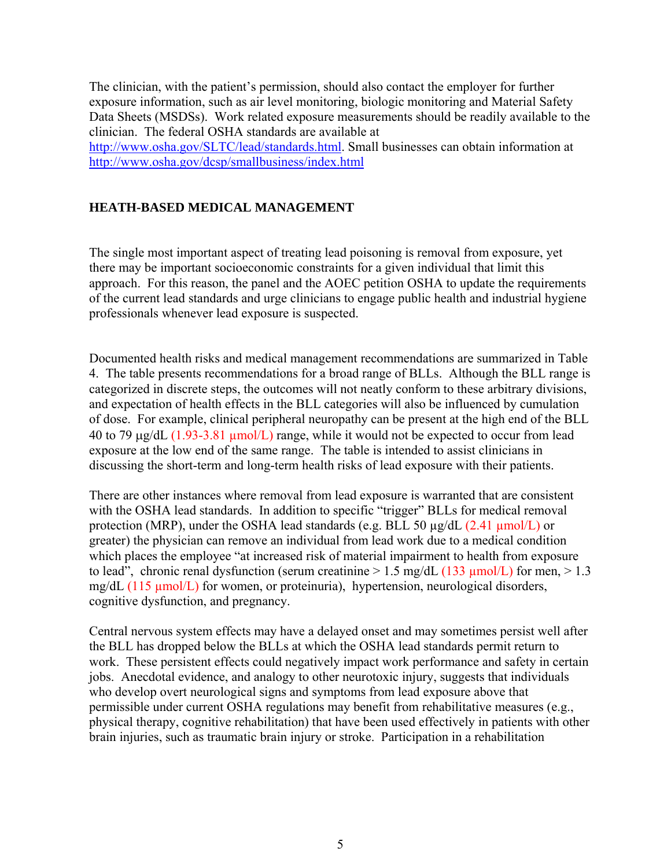The clinician, with the patient's permission, should also contact the employer for further exposure information, such as air level monitoring, biologic monitoring and Material Safety Data Sheets (MSDSs). Work related exposure measurements should be readily available to the clinician. The federal OSHA standards are available at [http://www.osha.gov/SLTC/lead/standards.html.](http://www.osha.gov/SLTC/lead/standards.html) Small businesses can obtain information at <http://www.osha.gov/dcsp/smallbusiness/index.html>

#### **HEATH-BASED MEDICAL MANAGEMENT**

The single most important aspect of treating lead poisoning is removal from exposure, yet there may be important socioeconomic constraints for a given individual that limit this approach. For this reason, the panel and the AOEC petition OSHA to update the requirements of the current lead standards and urge clinicians to engage public health and industrial hygiene professionals whenever lead exposure is suspected.

Documented health risks and medical management recommendations are summarized in Table 4. The table presents recommendations for a broad range of BLLs. Although the BLL range is categorized in discrete steps, the outcomes will not neatly conform to these arbitrary divisions, and expectation of health effects in the BLL categories will also be influenced by cumulation of dose. For example, clinical peripheral neuropathy can be present at the high end of the BLL 40 to 79 μg/dL (1.93-3.81 µmol/L) range, while it would not be expected to occur from lead exposure at the low end of the same range. The table is intended to assist clinicians in discussing the short-term and long-term health risks of lead exposure with their patients.

There are other instances where removal from lead exposure is warranted that are consistent with the OSHA lead standards. In addition to specific "trigger" BLLs for medical removal protection (MRP), under the OSHA lead standards (e.g. BLL 50 µg/dL (2.41 µmol/L) or greater) the physician can remove an individual from lead work due to a medical condition which places the employee "at increased risk of material impairment to health from exposure to lead", chronic renal dysfunction (serum creatinine  $> 1.5$  mg/dL (133  $\mu$ mol/L) for men,  $> 1.3$ mg/dL (115 µmol/L) for women, or proteinuria), hypertension, neurological disorders, cognitive dysfunction, and pregnancy.

Central nervous system effects may have a delayed onset and may sometimes persist well after the BLL has dropped below the BLLs at which the OSHA lead standards permit return to work. These persistent effects could negatively impact work performance and safety in certain jobs. Anecdotal evidence, and analogy to other neurotoxic injury, suggests that individuals who develop overt neurological signs and symptoms from lead exposure above that permissible under current OSHA regulations may benefit from rehabilitative measures (e.g., physical therapy, cognitive rehabilitation) that have been used effectively in patients with other brain injuries, such as traumatic brain injury or stroke. Participation in a rehabilitation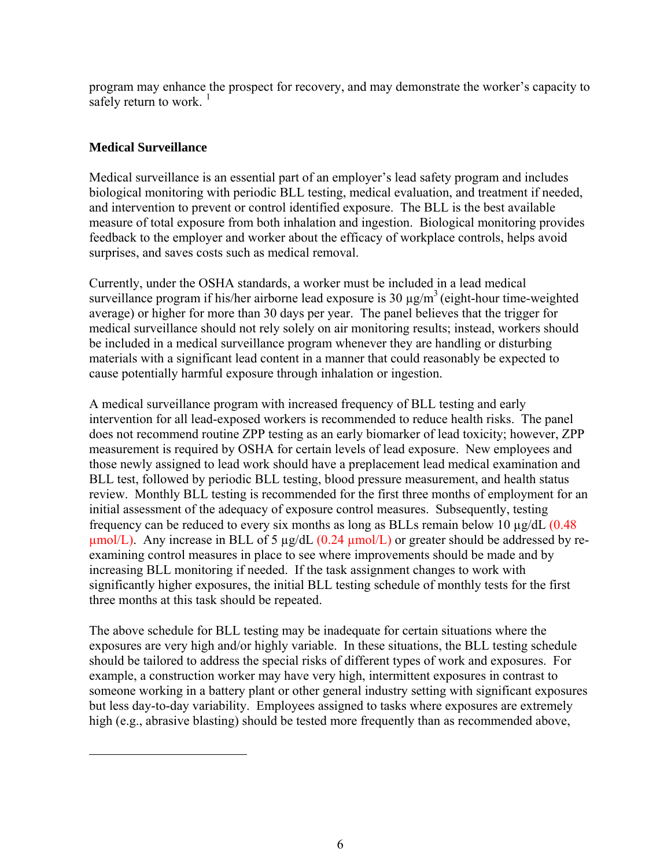program may enhance the prospect for recovery, and may demonstrate the worker's capacity to safely return to work.  $<sup>1</sup>$  $<sup>1</sup>$  $<sup>1</sup>$ </sup>

#### **Medical Surveillance**

<span id="page-5-0"></span>1

Medical surveillance is an essential part of an employer's lead safety program and includes biological monitoring with periodic BLL testing, medical evaluation, and treatment if needed, and intervention to prevent or control identified exposure. The BLL is the best available measure of total exposure from both inhalation and ingestion. Biological monitoring provides feedback to the employer and worker about the efficacy of workplace controls, helps avoid surprises, and saves costs such as medical removal.

Currently, under the OSHA standards, a worker must be included in a lead medical surveillance program if his/her airborne lead exposure is 30  $\mu$ g/m<sup>3</sup> (eight-hour time-weighted average) or higher for more than 30 days per year. The panel believes that the trigger for medical surveillance should not rely solely on air monitoring results; instead, workers should be included in a medical surveillance program whenever they are handling or disturbing materials with a significant lead content in a manner that could reasonably be expected to cause potentially harmful exposure through inhalation or ingestion.

A medical surveillance program with increased frequency of BLL testing and early intervention for all lead-exposed workers is recommended to reduce health risks. The panel does not recommend routine ZPP testing as an early biomarker of lead toxicity; however, ZPP measurement is required by OSHA for certain levels of lead exposure. New employees and those newly assigned to lead work should have a preplacement lead medical examination and BLL test, followed by periodic BLL testing, blood pressure measurement, and health status review. Monthly BLL testing is recommended for the first three months of employment for an initial assessment of the adequacy of exposure control measures. Subsequently, testing frequency can be reduced to every six months as long as BLLs remain below 10 µg/dL (0.48  $\mu$ mol/L). Any increase in BLL of 5  $\mu$ g/dL (0.24  $\mu$ mol/L) or greater should be addressed by reexamining control measures in place to see where improvements should be made and by increasing BLL monitoring if needed. If the task assignment changes to work with significantly higher exposures, the initial BLL testing schedule of monthly tests for the first three months at this task should be repeated.

The above schedule for BLL testing may be inadequate for certain situations where the exposures are very high and/or highly variable. In these situations, the BLL testing schedule should be tailored to address the special risks of different types of work and exposures. For example, a construction worker may have very high, intermittent exposures in contrast to someone working in a battery plant or other general industry setting with significant exposures but less day-to-day variability. Employees assigned to tasks where exposures are extremely high (e.g., abrasive blasting) should be tested more frequently than as recommended above,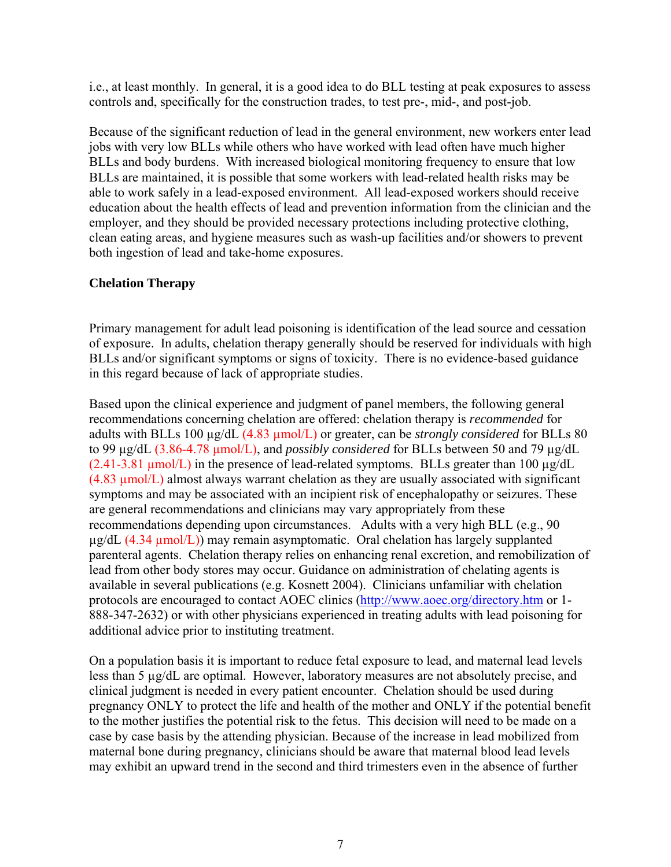i.e., at least monthly. In general, it is a good idea to do BLL testing at peak exposures to assess controls and, specifically for the construction trades, to test pre-, mid-, and post-job.

Because of the significant reduction of lead in the general environment, new workers enter lead jobs with very low BLLs while others who have worked with lead often have much higher BLLs and body burdens. With increased biological monitoring frequency to ensure that low BLLs are maintained, it is possible that some workers with lead-related health risks may be able to work safely in a lead-exposed environment. All lead-exposed workers should receive education about the health effects of lead and prevention information from the clinician and the employer, and they should be provided necessary protections including protective clothing, clean eating areas, and hygiene measures such as wash-up facilities and/or showers to prevent both ingestion of lead and take-home exposures.

#### **Chelation Therapy**

Primary management for adult lead poisoning is identification of the lead source and cessation of exposure. In adults, chelation therapy generally should be reserved for individuals with high BLLs and/or significant symptoms or signs of toxicity. There is no evidence-based guidance in this regard because of lack of appropriate studies.

Based upon the clinical experience and judgment of panel members, the following general recommendations concerning chelation are offered: chelation therapy is *recommended* for adults with BLLs 100 µg/dL (4.83 µmol/L) or greater, can be *strongly considered* for BLLs 80 to 99 µg/dL (3.86-4.78 µmol/L), and *possibly considered* for BLLs between 50 and 79 µg/dL  $(2.41-3.81 \mu mol/L)$  in the presence of lead-related symptoms. BLLs greater than 100  $\mu$ g/dL  $(4.83 \mu mol/L)$  almost always warrant chelation as they are usually associated with significant symptoms and may be associated with an incipient risk of encephalopathy or seizures. These are general recommendations and clinicians may vary appropriately from these recommendations depending upon circumstances. Adults with a very high BLL (e.g., 90  $\mu$ g/dL (4.34  $\mu$ mol/L)) may remain asymptomatic. Oral chelation has largely supplanted parenteral agents. Chelation therapy relies on enhancing renal excretion, and remobilization of lead from other body stores may occur. Guidance on administration of chelating agents is available in several publications (e.g. Kosnett 2004). Clinicians unfamiliar with chelation protocols are encouraged to contact AOEC clinics [\(http://www.aoec.org/directory.htm](http://www.aoec.org/directory.htm) or 1- 888-347-2632) or with other physicians experienced in treating adults with lead poisoning for additional advice prior to instituting treatment.

On a population basis it is important to reduce fetal exposure to lead, and maternal lead levels less than 5 µg/dL are optimal. However, laboratory measures are not absolutely precise, and clinical judgment is needed in every patient encounter. Chelation should be used during pregnancy ONLY to protect the life and health of the mother and ONLY if the potential benefit to the mother justifies the potential risk to the fetus. This decision will need to be made on a case by case basis by the attending physician. Because of the increase in lead mobilized from maternal bone during pregnancy, clinicians should be aware that maternal blood lead levels may exhibit an upward trend in the second and third trimesters even in the absence of further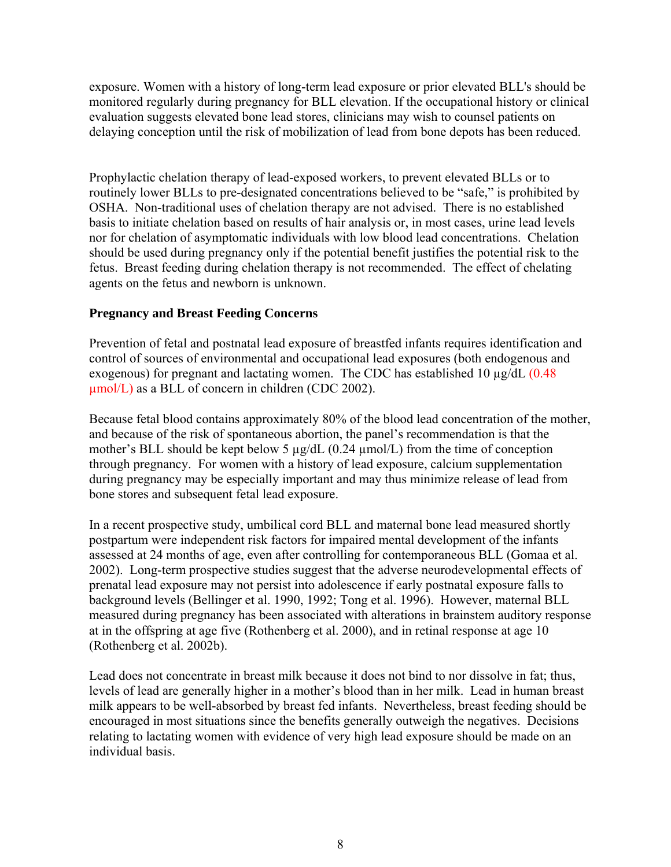exposure. Women with a history of long-term lead exposure or prior elevated BLL's should be monitored regularly during pregnancy for BLL elevation. If the occupational history or clinical evaluation suggests elevated bone lead stores, clinicians may wish to counsel patients on delaying conception until the risk of mobilization of lead from bone depots has been reduced.

Prophylactic chelation therapy of lead-exposed workers, to prevent elevated BLLs or to routinely lower BLLs to pre-designated concentrations believed to be "safe," is prohibited by OSHA. Non-traditional uses of chelation therapy are not advised. There is no established basis to initiate chelation based on results of hair analysis or, in most cases, urine lead levels nor for chelation of asymptomatic individuals with low blood lead concentrations. Chelation should be used during pregnancy only if the potential benefit justifies the potential risk to the fetus. Breast feeding during chelation therapy is not recommended. The effect of chelating agents on the fetus and newborn is unknown.

#### **Pregnancy and Breast Feeding Concerns**

Prevention of fetal and postnatal lead exposure of breastfed infants requires identification and control of sources of environmental and occupational lead exposures (both endogenous and exogenous) for pregnant and lactating women. The CDC has established 10  $\mu$ g/dL (0.48)  $\mu$ mol/L) as a BLL of concern in children (CDC 2002).

Because fetal blood contains approximately 80% of the blood lead concentration of the mother, and because of the risk of spontaneous abortion, the panel's recommendation is that the mother's BLL should be kept below 5  $\mu$ g/dL (0.24  $\mu$ mol/L) from the time of conception through pregnancy. For women with a history of lead exposure, calcium supplementation during pregnancy may be especially important and may thus minimize release of lead from bone stores and subsequent fetal lead exposure.

In a recent prospective study, umbilical cord BLL and maternal bone lead measured shortly postpartum were independent risk factors for impaired mental development of the infants assessed at 24 months of age, even after controlling for contemporaneous BLL (Gomaa et al. 2002). Long-term prospective studies suggest that the adverse neurodevelopmental effects of prenatal lead exposure may not persist into adolescence if early postnatal exposure falls to background levels (Bellinger et al. 1990, 1992; Tong et al. 1996). However, maternal BLL measured during pregnancy has been associated with alterations in brainstem auditory response at in the offspring at age five (Rothenberg et al. 2000), and in retinal response at age 10 (Rothenberg et al. 2002b).

Lead does not concentrate in breast milk because it does not bind to nor dissolve in fat; thus, levels of lead are generally higher in a mother's blood than in her milk. Lead in human breast milk appears to be well-absorbed by breast fed infants. Nevertheless, breast feeding should be encouraged in most situations since the benefits generally outweigh the negatives. Decisions relating to lactating women with evidence of very high lead exposure should be made on an individual basis.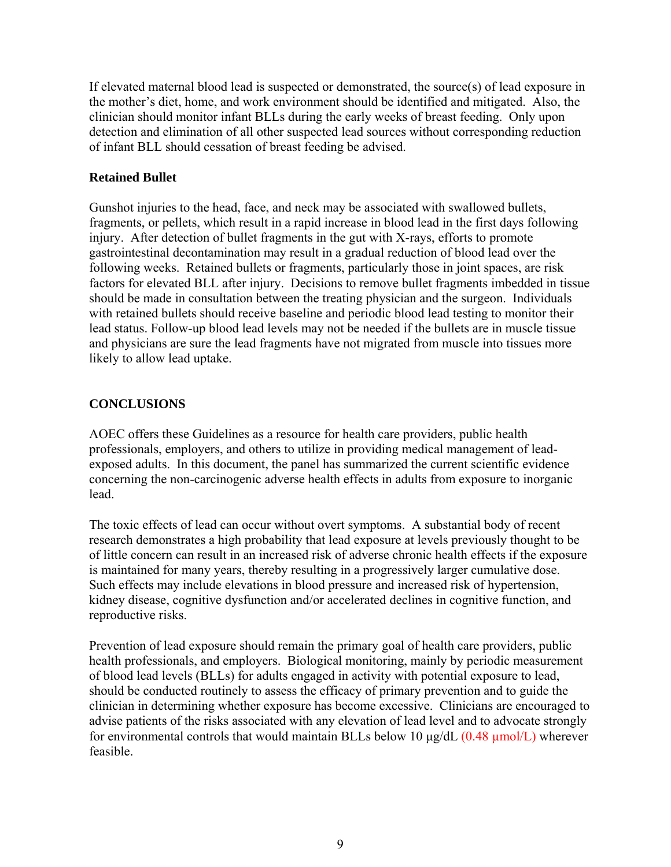If elevated maternal blood lead is suspected or demonstrated, the source(s) of lead exposure in the mother's diet, home, and work environment should be identified and mitigated. Also, the clinician should monitor infant BLLs during the early weeks of breast feeding. Only upon detection and elimination of all other suspected lead sources without corresponding reduction of infant BLL should cessation of breast feeding be advised.

#### **Retained Bullet**

Gunshot injuries to the head, face, and neck may be associated with swallowed bullets, fragments, or pellets, which result in a rapid increase in blood lead in the first days following injury. After detection of bullet fragments in the gut with X-rays, efforts to promote gastrointestinal decontamination may result in a gradual reduction of blood lead over the following weeks. Retained bullets or fragments, particularly those in joint spaces, are risk factors for elevated BLL after injury. Decisions to remove bullet fragments imbedded in tissue should be made in consultation between the treating physician and the surgeon. Individuals with retained bullets should receive baseline and periodic blood lead testing to monitor their lead status. Follow-up blood lead levels may not be needed if the bullets are in muscle tissue and physicians are sure the lead fragments have not migrated from muscle into tissues more likely to allow lead uptake.

#### **CONCLUSIONS**

AOEC offers these Guidelines as a resource for health care providers, public health professionals, employers, and others to utilize in providing medical management of leadexposed adults. In this document, the panel has summarized the current scientific evidence concerning the non-carcinogenic adverse health effects in adults from exposure to inorganic lead.

The toxic effects of lead can occur without overt symptoms. A substantial body of recent research demonstrates a high probability that lead exposure at levels previously thought to be of little concern can result in an increased risk of adverse chronic health effects if the exposure is maintained for many years, thereby resulting in a progressively larger cumulative dose. Such effects may include elevations in blood pressure and increased risk of hypertension, kidney disease, cognitive dysfunction and/or accelerated declines in cognitive function, and reproductive risks.

Prevention of lead exposure should remain the primary goal of health care providers, public health professionals, and employers. Biological monitoring, mainly by periodic measurement of blood lead levels (BLLs) for adults engaged in activity with potential exposure to lead, should be conducted routinely to assess the efficacy of primary prevention and to guide the clinician in determining whether exposure has become excessive. Clinicians are encouraged to advise patients of the risks associated with any elevation of lead level and to advocate strongly for environmental controls that would maintain BLLs below 10 μg/dL (0.48 µmol/L) wherever feasible.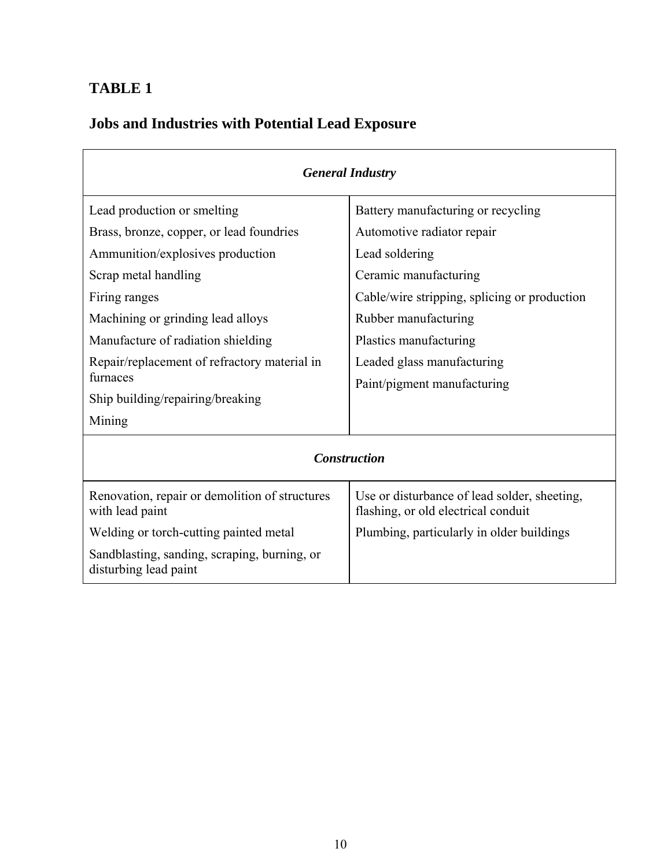## **TABLE 1**

# **Jobs and Industries with Potential Lead Exposure**

| <b>General Industry</b>                                               |                                                                                     |  |  |  |
|-----------------------------------------------------------------------|-------------------------------------------------------------------------------------|--|--|--|
| Lead production or smelting                                           | Battery manufacturing or recycling                                                  |  |  |  |
| Brass, bronze, copper, or lead foundries                              | Automotive radiator repair                                                          |  |  |  |
| Ammunition/explosives production                                      | Lead soldering                                                                      |  |  |  |
| Scrap metal handling                                                  | Ceramic manufacturing                                                               |  |  |  |
| Firing ranges                                                         | Cable/wire stripping, splicing or production                                        |  |  |  |
| Machining or grinding lead alloys                                     | Rubber manufacturing                                                                |  |  |  |
| Manufacture of radiation shielding                                    | Plastics manufacturing                                                              |  |  |  |
| Repair/replacement of refractory material in                          | Leaded glass manufacturing                                                          |  |  |  |
| furnaces                                                              | Paint/pigment manufacturing                                                         |  |  |  |
| Ship building/repairing/breaking                                      |                                                                                     |  |  |  |
| Mining                                                                |                                                                                     |  |  |  |
| <b>Construction</b>                                                   |                                                                                     |  |  |  |
| Renovation, repair or demolition of structures<br>with lead paint     | Use or disturbance of lead solder, sheeting,<br>flashing, or old electrical conduit |  |  |  |
| Welding or torch-cutting painted metal                                | Plumbing, particularly in older buildings                                           |  |  |  |
| Sandblasting, sanding, scraping, burning, or<br>disturbing lead paint |                                                                                     |  |  |  |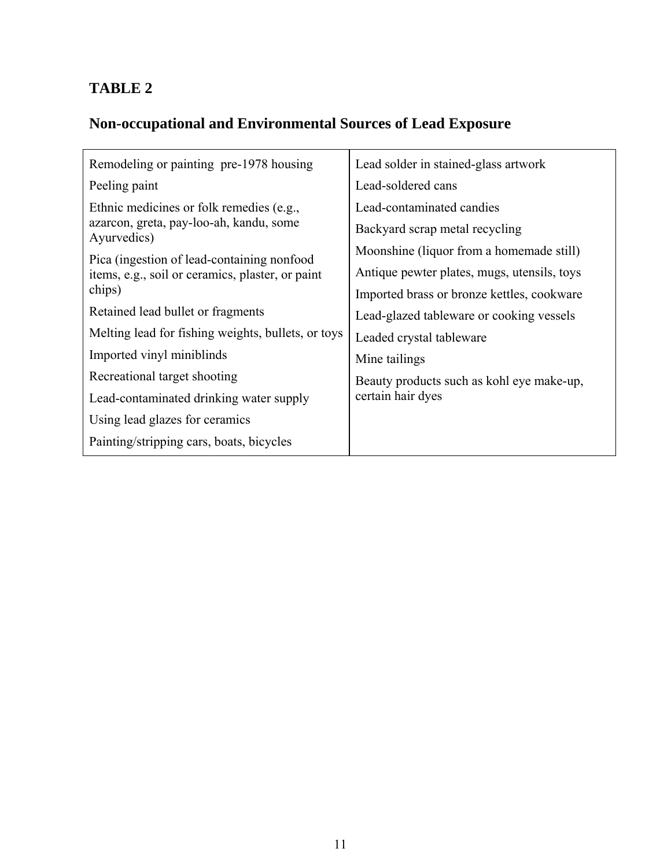## **TABLE 2**

# **Non-occupational and Environmental Sources of Lead Exposure**

| Remodeling or painting pre-1978 housing                    | Lead solder in stained-glass artwork        |  |
|------------------------------------------------------------|---------------------------------------------|--|
| Peeling paint                                              | Lead-soldered cans                          |  |
| Ethnic medicines or folk remedies (e.g.,                   | Lead-contaminated candies                   |  |
| azarcon, greta, pay-loo-ah, kandu, some<br>Ayurvedics)     | Backyard scrap metal recycling              |  |
| Pica (ingestion of lead-containing nonfood)                | Moonshine (liquor from a homemade still)    |  |
| items, e.g., soil or ceramics, plaster, or paint<br>chips) | Antique pewter plates, mugs, utensils, toys |  |
|                                                            | Imported brass or bronze kettles, cookware  |  |
| Retained lead bullet or fragments                          | Lead-glazed tableware or cooking vessels    |  |
| Melting lead for fishing weights, bullets, or toys         | Leaded crystal tableware                    |  |
| Imported vinyl miniblinds                                  | Mine tailings                               |  |
| Recreational target shooting                               | Beauty products such as kohl eye make-up,   |  |
| Lead-contaminated drinking water supply                    | certain hair dyes                           |  |
| Using lead glazes for ceramics                             |                                             |  |
| Painting/stripping cars, boats, bicycles                   |                                             |  |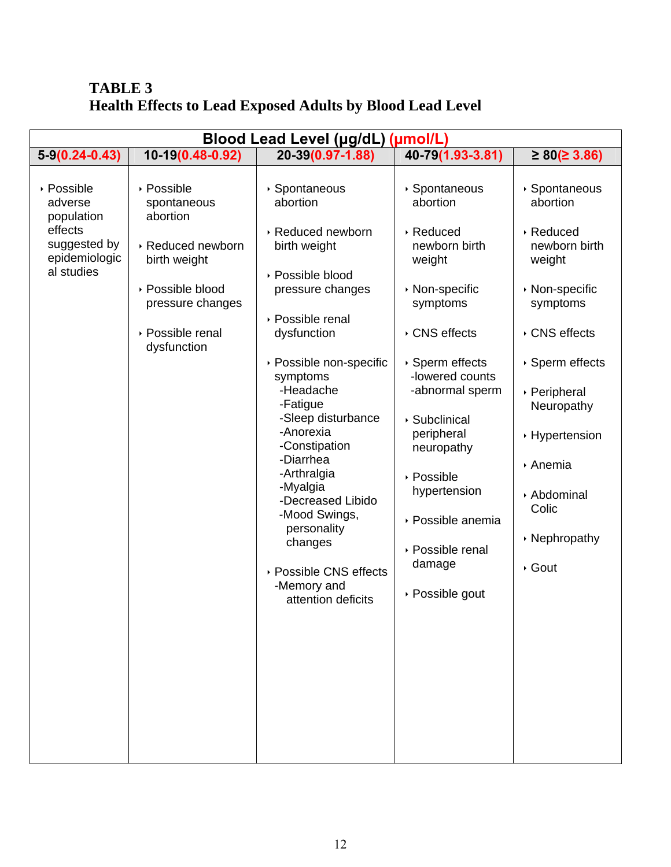### **TABLE 3 Health Effects to Lead Exposed Adults by Blood Lead Level**

| Blood Lead Level (µg/dL) (µmol/L)                                                                                                                                                                                                                                                                                                                                                                                                                                                                                                                                                                                                                                                              |                                                                                                                                                                                                                                                                                                                                                                                                                                                                                                                                                                                  |  |  |  |  |  |  |
|------------------------------------------------------------------------------------------------------------------------------------------------------------------------------------------------------------------------------------------------------------------------------------------------------------------------------------------------------------------------------------------------------------------------------------------------------------------------------------------------------------------------------------------------------------------------------------------------------------------------------------------------------------------------------------------------|----------------------------------------------------------------------------------------------------------------------------------------------------------------------------------------------------------------------------------------------------------------------------------------------------------------------------------------------------------------------------------------------------------------------------------------------------------------------------------------------------------------------------------------------------------------------------------|--|--|--|--|--|--|
| 10-19(0.48-0.92)<br>$5-9(0.24-0.43)$<br>20-39(0.97-1.88)                                                                                                                                                                                                                                                                                                                                                                                                                                                                                                                                                                                                                                       | 40-79(1.93-3.81)<br>$\geq 80 ( \geq 3.86 )$                                                                                                                                                                                                                                                                                                                                                                                                                                                                                                                                      |  |  |  |  |  |  |
| ▶ Possible<br>▶ Possible<br>▶ Spontaneous<br>abortion<br>adverse<br>spontaneous<br>abortion<br>population<br>effects<br>▶ Reduced newborn<br>suggested by<br>▶ Reduced newborn<br>birth weight<br>epidemiologic<br>birth weight<br>al studies<br>▶ Possible blood<br>▶ Possible blood<br>pressure changes<br>pressure changes<br>▶ Possible renal<br>▶ Possible renal<br>dysfunction<br>dysfunction<br>▶ Possible non-specific<br>symptoms<br>-Headache<br>-Fatigue<br>-Sleep disturbance<br>-Anorexia<br>-Constipation<br>-Diarrhea<br>-Arthralgia<br>-Myalgia<br>-Decreased Libido<br>-Mood Swings,<br>personality<br>changes<br>▶ Possible CNS effects<br>-Memory and<br>attention deficits | ▶ Spontaneous<br>▶ Spontaneous<br>abortion<br>abortion<br>▶ Reduced<br>▶ Reduced<br>newborn birth<br>newborn birth<br>weight<br>weight<br>▶ Non-specific<br>▶ Non-specific<br>symptoms<br>symptoms<br>▸ CNS effects<br>▸ CNS effects<br>▶ Sperm effects<br>▶ Sperm effects<br>-lowered counts<br>-abnormal sperm<br>▶ Peripheral<br>Neuropathy<br>▶ Subclinical<br>peripheral<br>▸ Hypertension<br>neuropathy<br>▶ Anemia<br>▸ Possible<br>hypertension<br>▶ Abdominal<br>Colic<br>▶ Possible anemia<br>▶ Nephropathy<br>▶ Possible renal<br>damage<br>▸ Gout<br>▶ Possible gout |  |  |  |  |  |  |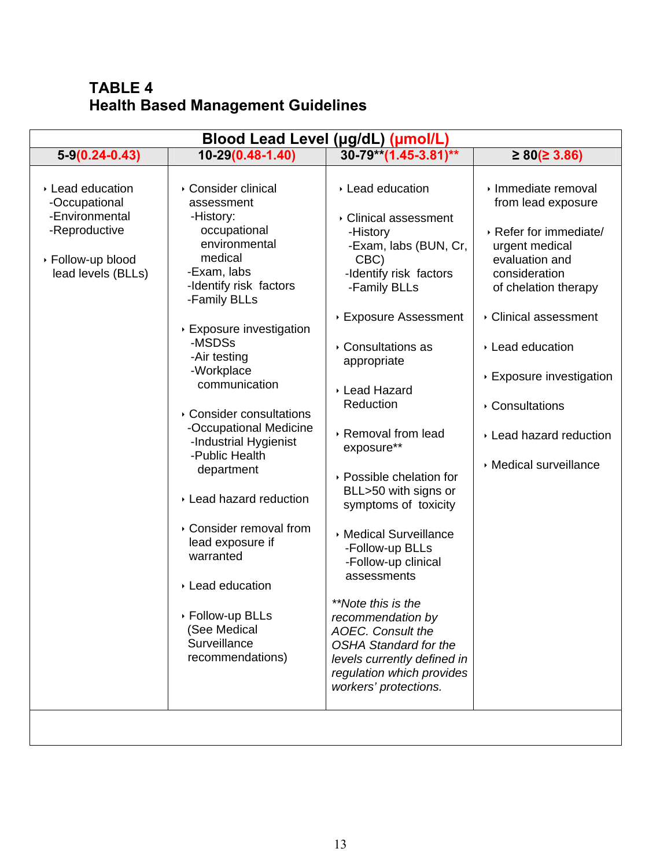## **TABLE 4 Health Based Management Guidelines**

| Blood Lead Level (µg/dL) (µmol/L)                                                                               |                                                                                                                                                                                                                                                                                                                                                                                                                                                                                                                                            |                                                                                                                                                                                                                                                                                                                                                                                                                                                                                                                                                                                                                              |                                                                                                                                                                                                                                                                                                    |  |  |  |
|-----------------------------------------------------------------------------------------------------------------|--------------------------------------------------------------------------------------------------------------------------------------------------------------------------------------------------------------------------------------------------------------------------------------------------------------------------------------------------------------------------------------------------------------------------------------------------------------------------------------------------------------------------------------------|------------------------------------------------------------------------------------------------------------------------------------------------------------------------------------------------------------------------------------------------------------------------------------------------------------------------------------------------------------------------------------------------------------------------------------------------------------------------------------------------------------------------------------------------------------------------------------------------------------------------------|----------------------------------------------------------------------------------------------------------------------------------------------------------------------------------------------------------------------------------------------------------------------------------------------------|--|--|--|
| $5-9(0.24-0.43)$                                                                                                | $10-29(0.48-1.40)$                                                                                                                                                                                                                                                                                                                                                                                                                                                                                                                         | $30-79**$ (1.45-3.81)**                                                                                                                                                                                                                                                                                                                                                                                                                                                                                                                                                                                                      | $\geq 80 ( \geq 3.86 )$                                                                                                                                                                                                                                                                            |  |  |  |
| ▸ Lead education<br>-Occupational<br>-Environmental<br>-Reproductive<br>▶ Follow-up blood<br>lead levels (BLLs) | ▸ Consider clinical<br>assessment<br>-History:<br>occupational<br>environmental<br>medical<br>-Exam, labs<br>-Identify risk factors<br>-Family BLLs<br>▶ Exposure investigation<br>-MSDSs<br>-Air testing<br>-Workplace<br>communication<br>▸ Consider consultations<br>-Occupational Medicine<br>-Industrial Hygienist<br>-Public Health<br>department<br>▸ Lead hazard reduction<br>▸ Consider removal from<br>lead exposure if<br>warranted<br>▶ Lead education<br>▶ Follow-up BLLs<br>(See Medical<br>Surveillance<br>recommendations) | ▸ Lead education<br>▸ Clinical assessment<br>-History<br>-Exam, labs (BUN, Cr,<br>CBC)<br>-Identify risk factors<br>-Family BLLs<br>▶ Exposure Assessment<br>▸ Consultations as<br>appropriate<br>▶ Lead Hazard<br>Reduction<br>▶ Removal from lead<br>exposure**<br>▸ Possible chelation for<br>BLL>50 with signs or<br>symptoms of toxicity<br>▶ Medical Surveillance<br>-Follow-up BLLs<br>-Follow-up clinical<br>assessments<br>**Note this is the<br>recommendation by<br><b>AOEC.</b> Consult the<br><b>OSHA Standard for the</b><br>levels currently defined in<br>regulation which provides<br>workers' protections. | › Immediate removal<br>from lead exposure<br>▶ Refer for immediate/<br>urgent medical<br>evaluation and<br>consideration<br>of chelation therapy<br>Clinical assessment<br>▶ Lead education<br>▶ Exposure investigation<br>▶ Consultations<br>Lead hazard reduction<br><b>Medical surveillance</b> |  |  |  |
|                                                                                                                 |                                                                                                                                                                                                                                                                                                                                                                                                                                                                                                                                            |                                                                                                                                                                                                                                                                                                                                                                                                                                                                                                                                                                                                                              |                                                                                                                                                                                                                                                                                                    |  |  |  |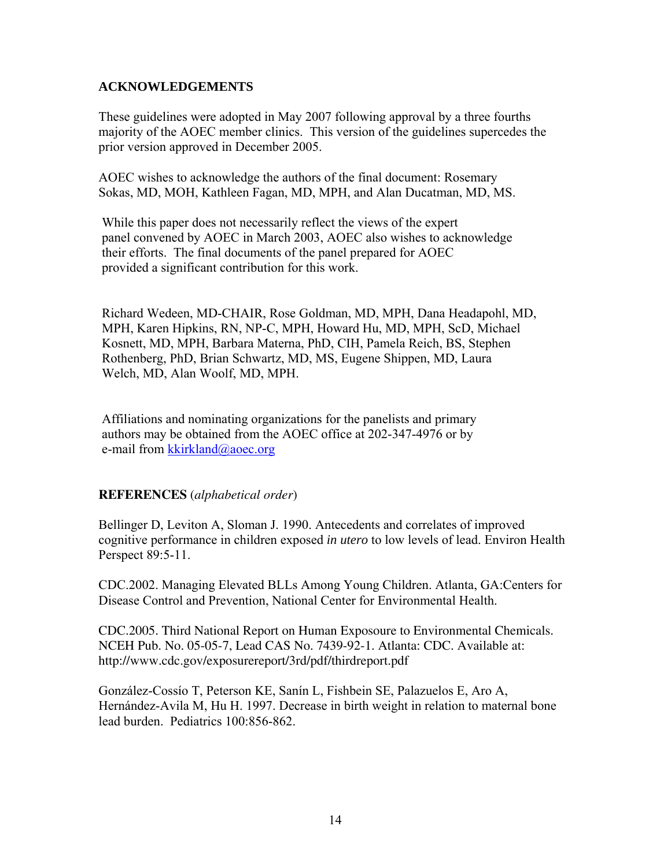#### **ACKNOWLEDGEMENTS**

These guidelines were adopted in May 2007 following approval by a three fourths majority of the AOEC member clinics. This version of the guidelines supercedes the prior version approved in December 2005.

AOEC wishes to acknowledge the authors of the final document: Rosemary Sokas, MD, MOH, Kathleen Fagan, MD, MPH, and Alan Ducatman, MD, MS.

 While this paper does not necessarily reflect the views of the expert panel convened by AOEC in March 2003, AOEC also wishes to acknowledge their efforts. The final documents of the panel prepared for AOEC provided a significant contribution for this work.

 Richard Wedeen, MD-CHAIR, Rose Goldman, MD, MPH, Dana Headapohl, MD, MPH, Karen Hipkins, RN, NP-C, MPH, Howard Hu, MD, MPH, ScD, Michael Kosnett, MD, MPH, Barbara Materna, PhD, CIH, Pamela Reich, BS, Stephen Rothenberg, PhD, Brian Schwartz, MD, MS, Eugene Shippen, MD, Laura Welch, MD, Alan Woolf, MD, MPH.

 Affiliations and nominating organizations for the panelists and primary authors may be obtained from the AOEC office at 202-347-4976 or by e-mail from [kkirkland@aoec.org](mailto:kkirkland@aoec.org)

#### **REFERENCES** (*alphabetical order*)

Bellinger D, Leviton A, Sloman J. 1990. Antecedents and correlates of improved cognitive performance in children exposed *in utero* to low levels of lead. Environ Health Perspect 89:5-11.

CDC.2002. Managing Elevated BLLs Among Young Children. Atlanta, GA:Centers for Disease Control and Prevention, National Center for Environmental Health.

CDC.2005. Third National Report on Human Exposoure to Environmental Chemicals. NCEH Pub. No. 05-05-7, Lead CAS No. 7439-92-1. Atlanta: CDC. Available at: http://www.cdc.gov/exposurereport/3rd/pdf/thirdreport.pdf

González-Cossío T, Peterson KE, Sanín L, Fishbein SE, Palazuelos E, Aro A, Hernández-Avila M, Hu H. 1997. Decrease in birth weight in relation to maternal bone lead burden. Pediatrics 100:856-862.